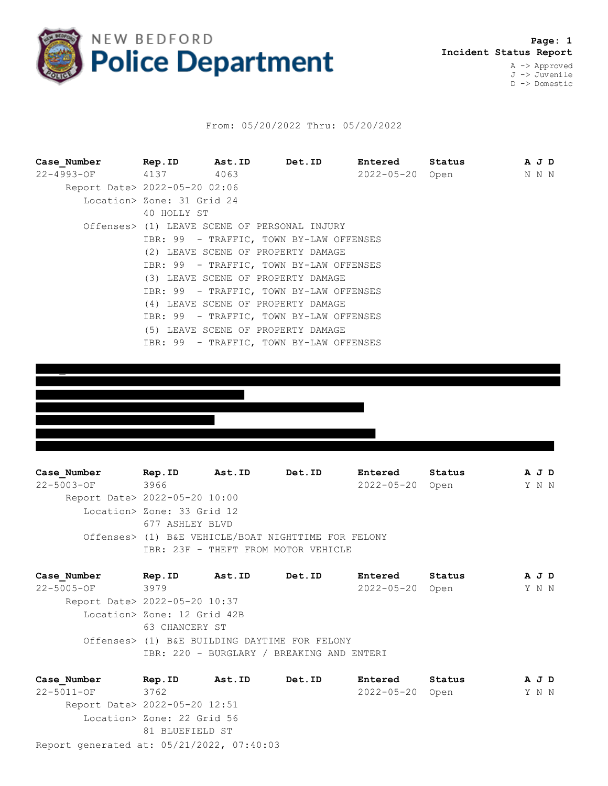

## From: 05/20/2022 Thru: 05/20/2022

| Case Number                   | Rep.ID Ast.ID                                |                                         | Det.ID | Entered         | Status | A J D |
|-------------------------------|----------------------------------------------|-----------------------------------------|--------|-----------------|--------|-------|
| 22-4993-OF 4137 4063          |                                              |                                         |        | 2022-05-20 Open |        | N N N |
| Report Date> 2022-05-20 02:06 |                                              |                                         |        |                 |        |       |
|                               | Location> Zone: 31 Grid 24                   |                                         |        |                 |        |       |
|                               | 40 HOLLY ST                                  |                                         |        |                 |        |       |
|                               | Offenses> (1) LEAVE SCENE OF PERSONAL INJURY |                                         |        |                 |        |       |
|                               |                                              | IBR: 99 - TRAFFIC, TOWN BY-LAW OFFENSES |        |                 |        |       |
|                               |                                              | (2) LEAVE SCENE OF PROPERTY DAMAGE      |        |                 |        |       |
|                               |                                              | IBR: 99 - TRAFFIC, TOWN BY-LAW OFFENSES |        |                 |        |       |
|                               |                                              | (3) LEAVE SCENE OF PROPERTY DAMAGE      |        |                 |        |       |
|                               |                                              | IBR: 99 - TRAFFIC, TOWN BY-LAW OFFENSES |        |                 |        |       |
|                               |                                              | (4) LEAVE SCENE OF PROPERTY DAMAGE      |        |                 |        |       |
|                               |                                              | IBR: 99 - TRAFFIC, TOWN BY-LAW OFFENSES |        |                 |        |       |
|                               | (5) LEAVE SCENE OF PROPERTY DAMAGE           |                                         |        |                 |        |       |
|                               |                                              | IBR: 99 - TRAFFIC, TOWN BY-LAW OFFENSES |        |                 |        |       |



**Case\_Number Rep.ID Ast.ID Det.ID Entered Status A J D** 22-5003-OF 3966 2022-05-20 Open Y N N Report Date> 2022-05-20 10:00 Location> Zone: 33 Grid 12 677 ASHLEY BLVD Offenses> (1) B&E VEHICLE/BOAT NIGHTTIME FOR FELONY IBR: 23F - THEFT FROM MOTOR VEHICLE

**Case\_Number Rep.ID Ast.ID Det.ID Entered Status A J D** 22-5005-OF 3979 2022-05-20 Open Y N N Report Date> 2022-05-20 10:37 Location> Zone: 12 Grid 42B 63 CHANCERY ST Offenses> (1) B&E BUILDING DAYTIME FOR FELONY IBR: 220 - BURGLARY / BREAKING AND ENTERI

Report generated at: 05/21/2022, 07:40:03 **Case\_Number Rep.ID Ast.ID Det.ID Entered Status A J D** 22-5011-OF 3762 2022-05-20 Open Y N N Report Date> 2022-05-20 12:51 Location> Zone: 22 Grid 56 81 BLUEFIELD ST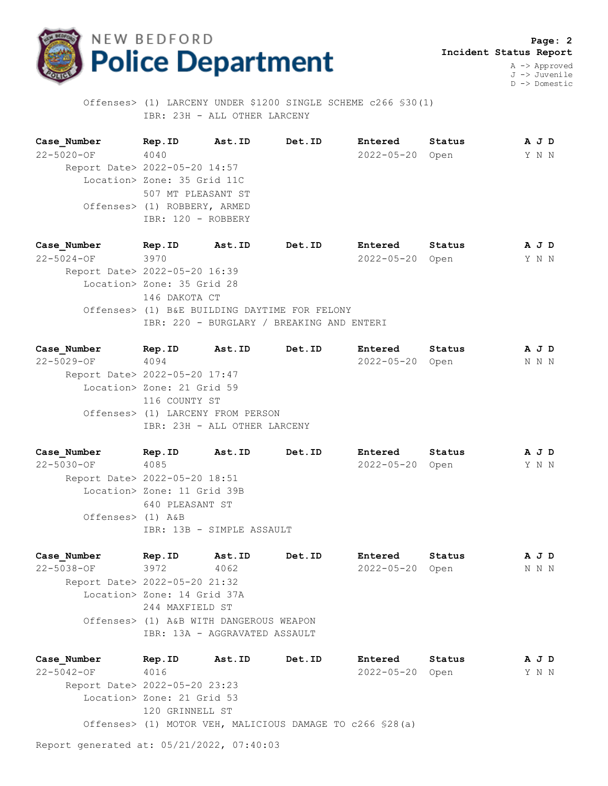

 **Page: 2 Incident Status Report** A -> Approved

J -> Juvenile D -> Domestic

 Offenses> (1) LARCENY UNDER \$1200 SINGLE SCHEME c266 §30(1) IBR: 23H - ALL OTHER LARCENY

**Case\_Number Rep.ID Ast.ID Det.ID Entered Status A J D** 22-5020-OF 4040 2022-05-20 Open Y N N Report Date> 2022-05-20 14:57 Location> Zone: 35 Grid 11C 507 MT PLEASANT ST Offenses> (1) ROBBERY, ARMED IBR: 120 - ROBBERY

**Case\_Number Rep.ID Ast.ID Det.ID Entered Status A J D** 22-5024-OF 3970 2022-05-20 Open Y N N Report Date> 2022-05-20 16:39 Location> Zone: 35 Grid 28 146 DAKOTA CT Offenses> (1) B&E BUILDING DAYTIME FOR FELONY IBR: 220 - BURGLARY / BREAKING AND ENTERI

**Case\_Number Rep.ID Ast.ID Det.ID Entered Status A J D** 22-5029-OF 4094 2022-05-20 Open N N N Report Date> 2022-05-20 17:47 Location> Zone: 21 Grid 59 116 COUNTY ST Offenses> (1) LARCENY FROM PERSON IBR: 23H - ALL OTHER LARCENY

**Case\_Number Rep.ID Ast.ID Det.ID Entered Status A J D** 22-5030-OF 4085 2022-05-20 Open Y N N Report Date> 2022-05-20 18:51 Location> Zone: 11 Grid 39B 640 PLEASANT ST Offenses> (1) A&B IBR: 13B - SIMPLE ASSAULT

**Case\_Number Rep.ID Ast.ID Det.ID Entered Status A J D** 22-5038-OF 3972 4062 2022-05-20 Open N N N Report Date> 2022-05-20 21:32 Location> Zone: 14 Grid 37A 244 MAXFIELD ST Offenses> (1) A&B WITH DANGEROUS WEAPON IBR: 13A - AGGRAVATED ASSAULT

**Case\_Number Rep.ID Ast.ID Det.ID Entered Status A J D** 22-5042-OF 4016 2022-05-20 Open Y N N Report Date> 2022-05-20 23:23 Location> Zone: 21 Grid 53 120 GRINNELL ST Offenses> (1) MOTOR VEH, MALICIOUS DAMAGE TO c266 §28(a)